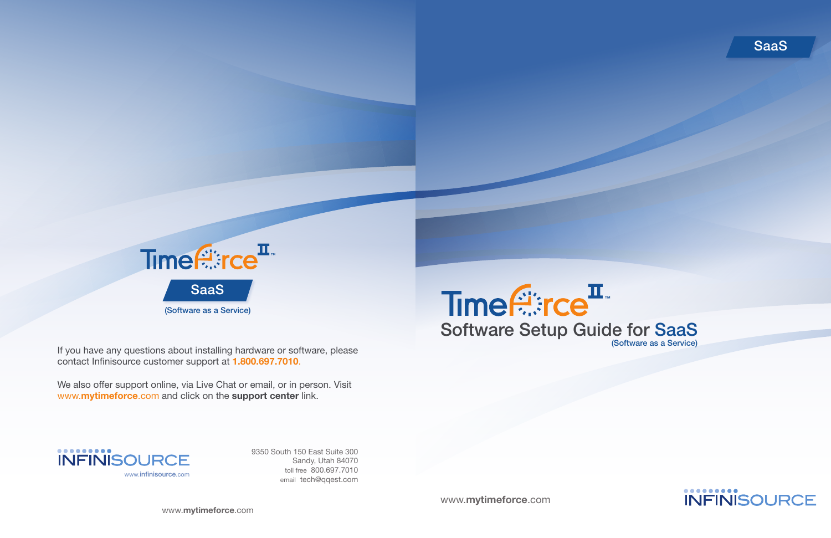



9350 South 150 East Suite 300 Sandy, Utah 84070 toll free 800.697.7010 email tech@qqest.com

We also offer support online, via Live Chat or email, or in person. Visit www.mytimeforce.com and click on the support center link.

If you have any questions about installing hardware or software, please contact Infinisource customer support at 1.800.697.7010.

www.mytimeforce.com

www.mytimeforce.com